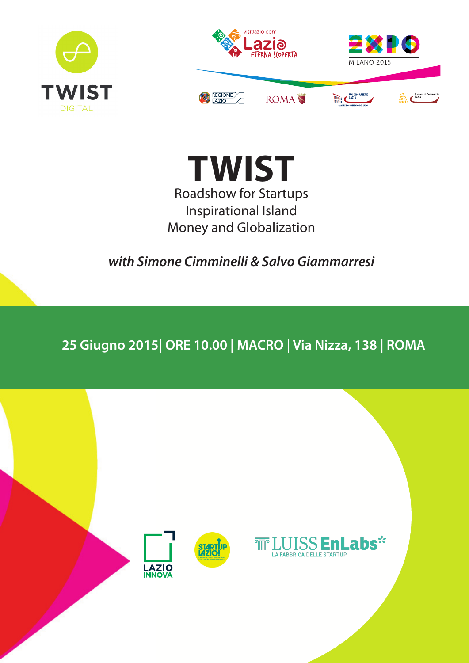



**TWIST** Roadshow for Startups Inspirational Island Money and Globalization

*with Simone Cimminelli & Salvo Giammarresi*

**25 Giugno 2015| ORE 10.00 | MACRO | Via Nizza, 138 | ROMA** 

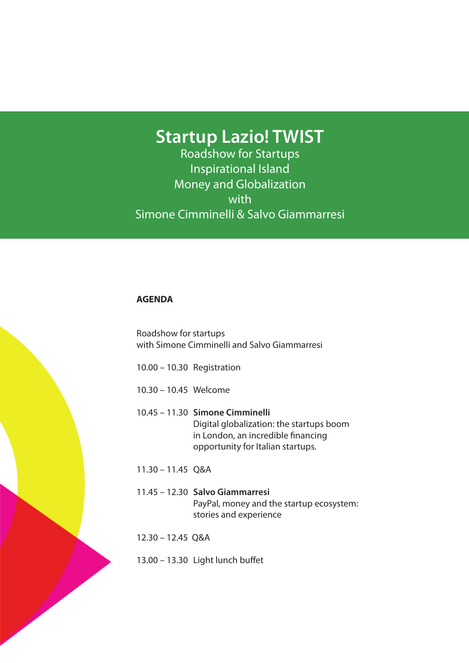# **Startup Lazio! TWIST**

Roadshow for Startups Inspirational Island Money and Globalization with Simone Cimminelli & Salvo Giammarresi

#### **AGENDA**

Roadshow for startups with Simone Cimminelli and Salvo Giammarresi

- 10.00 10.30 Registration
- 10.30 10.45 Welcome

### 10.45 – 11.30 **Simone Cimminelli** Digital globalization: the startups boom in London, an incredible financing opportunity for Italian startups.

- 11.30 11.45 Q&A
- 11.45 12.30 **Salvo Giammarresi** PayPal, money and the startup ecosystem: stories and experience
- 12.30 12.45 Q&A
- 13.00 13.30 Light lunch buffet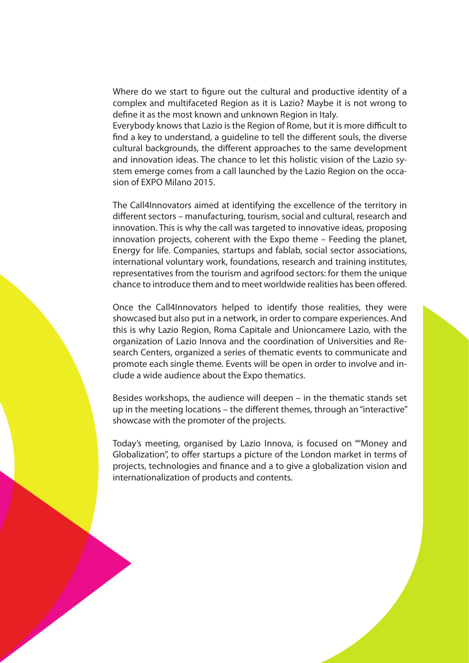Where do we start to figure out the cultural and productive identity of a complex and multifaceted Region as it is Lazio? Maybe it is not wrong to define it as the most known and unknown Region in Italy.

Everybody knows that Lazio is the Region of Rome, but it is more difficult to find a key to understand, a guideline to tell the different souls, the diverse cultural backgrounds, the different approaches to the same development and innovation ideas. The chance to let this holistic vision of the Lazio system emerge comes from a call launched by the Lazio Region on the occasion of EXPO Milano 2015.

The Call4Innovators aimed at identifying the excellence of the territory in different sectors – manufacturing, tourism, social and cultural, research and innovation. This is why the call was targeted to innovative ideas, proposing innovation projects, coherent with the Expo theme – Feeding the planet, Energy for life. Companies, startups and fablab, social sector associations, international voluntary work, foundations, research and training institutes, representatives from the tourism and agrifood sectors: for them the unique chance to introduce them and to meet worldwide realities has been offered.

Once the Call4Innovators helped to identify those realities, they were showcased but also put in a network, in order to compare experiences. And this is why Lazio Region, Roma Capitale and Unioncamere Lazio, with the organization of Lazio Innova and the coordination of Universities and Research Centers, organized a series of thematic events to communicate and promote each single theme. Events will be open in order to involve and include a wide audience about the Expo thematics.

Besides workshops, the audience will deepen – in the thematic stands set up in the meeting locations – the different themes, through an "interactive" showcase with the promoter of the projects.

Today's meeting, organised by Lazio Innova, is focused on ""Money and Globalization", to offer startups a picture of the London market in terms of projects, technologies and finance and a to give a globalization vision and internationalization of products and contents.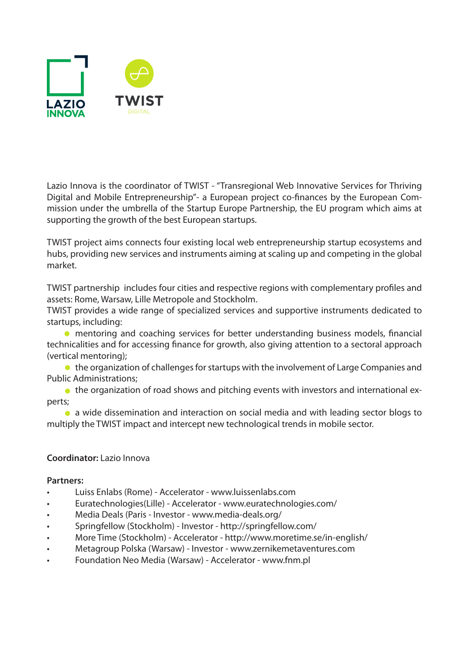![](_page_3_Picture_0.jpeg)

Lazio Innova is the coordinator of TWIST - "Transregional Web Innovative Services for Thriving Digital and Mobile Entrepreneurship"- a European project co-finances by the European Commission under the umbrella of the Startup Europe Partnership, the EU program which aims at supporting the growth of the best European startups.

TWIST project aims connects four existing local web entrepreneurship startup ecosystems and hubs, providing new services and instruments aiming at scaling up and competing in the global market.

TWIST partnership includes four cities and respective regions with complementary profiles and assets: Rome, Warsaw, Lille Metropole and Stockholm.

TWIST provides a wide range of specialized services and supportive instruments dedicated to startups, including:

mentoring and coaching services for better understanding business models, financial technicalities and for accessing finance for growth, also giving attention to a sectoral approach (vertical mentoring);

● the organization of challenges for startups with the involvement of Large Companies and Public Administrations;

• the organization of road shows and pitching events with investors and international experts;

a wide dissemination and interaction on social media and with leading sector blogs to multiply the TWIST impact and intercept new technological trends in mobile sector.

### **Coordinator:** Lazio Innova

### **Partners:**

- Luiss Enlabs (Rome) Accelerator www.luissenlabs.com
- Euratechnologies(Lille) Accelerator www.euratechnologies.com/
- Media Deals (Paris Investor www.media-deals.org/
- Springfellow (Stockholm) Investor http://springfellow.com/
- More Time (Stockholm) Accelerator http://www.moretime.se/in-english/
- Metagroup Polska (Warsaw) Investor www.zernikemetaventures.com
- Foundation Neo Media (Warsaw) Accelerator www.fnm.pl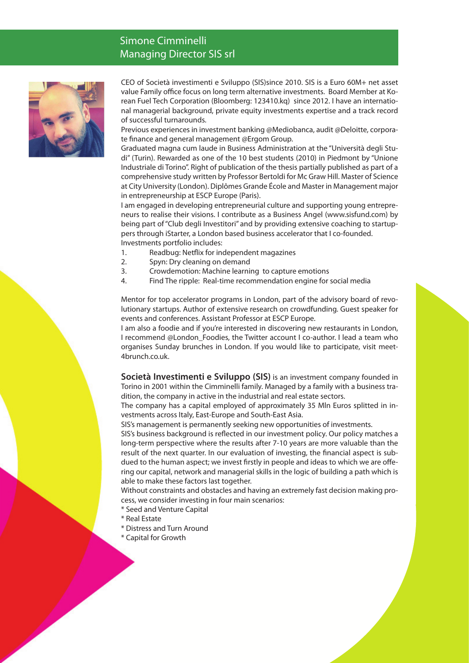## Simone Cimminelli Managing Director SIS srl

![](_page_4_Picture_1.jpeg)

CEO of Società investimenti e Sviluppo (SIS)since 2010. SIS is a Euro 60M+ net asset value Family office focus on long term alternative investments. Board Member at Korean Fuel Tech Corporation (Bloomberg: 123410.kq) since 2012. I have an international managerial background, private equity investments expertise and a track record of successful turnarounds.

Previous experiences in investment banking @Mediobanca, audit @Deloitte, corporate finance and general management @Ergom Group.

Graduated magna cum laude in Business Administration at the "Università degli Studi" (Turin). Rewarded as one of the 10 best students (2010) in Piedmont by "Unione Industriale di Torino". Right of publication of the thesis partially published as part of a comprehensive study written by Professor Bertoldi for Mc Graw Hill. Master of Science at City University (London). Diplômes Grande École and Master in Management major in entrepreneurship at ESCP Europe (Paris).

I am engaged in developing entrepreneurial culture and supporting young entrepreneurs to realise their visions. I contribute as a Business Angel (www.sisfund.com) by being part of "Club degli Investitori" and by providing extensive coaching to startuppers through iStarter, a London based business accelerator that I co-founded. Investments portfolio includes:

- 1. Readbug: Netflix for independent magazines
- 2. Spyn: Dry cleaning on demand
- 3. Crowdemotion: Machine learning to capture emotions
- 4. Find The ripple: Real-time recommendation engine for social media

Mentor for top accelerator programs in London, part of the advisory board of revolutionary startups. Author of extensive research on crowdfunding. Guest speaker for events and conferences. Assistant Professor at ESCP Europe.

I am also a foodie and if you're interested in discovering new restaurants in London, I recommend @London\_Foodies, the Twitter account I co-author. I lead a team who organises Sunday brunches in London. If you would like to participate, visit meet-4brunch.co.uk.

**Società Investimenti e Sviluppo (SIS)** is an investment company founded in Torino in 2001 within the Cimminelli family. Managed by a family with a business tradition, the company in active in the industrial and real estate sectors.

The company has a capital employed of approximately 35 Mln Euros splitted in investments across Italy, East-Europe and South-East Asia.

SIS's management is permanently seeking new opportunities of investments.

SIS's business background is reflected in our investment policy. Our policy matches a long-term perspective where the results after 7-10 years are more valuable than the result of the next quarter. In our evaluation of investing, the financial aspect is subdued to the human aspect; we invest firstly in people and ideas to which we are offering our capital, network and managerial skills in the logic of building a path which is able to make these factors last together.

Without constraints and obstacles and having an extremely fast decision making process, we consider investing in four main scenarios:

- \* Seed and Venture Capital
- \* Real Estate
- \* Distress and Turn Around
- \* Capital for Growth